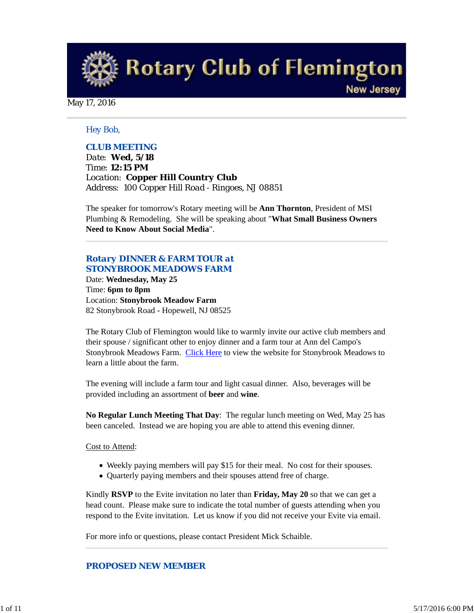**Rotary Club of Flemington New Jersey** 

May 17, 2016

#### *Hey Bob,*

#### *CLUB MEETING*

*Date: Wed, 5/18 Time: 12:15 PM Location: Copper Hill Country Club Address: 100 Copper Hill Road - Ringoes, NJ 08851*

The speaker for tomorrow's Rotary meeting will be **Ann Thornton**, President of MSI Plumbing & Remodeling. She will be speaking about "**What Small Business Owners Need to Know About Social Media**".

# *Rotary DINNER & FARM TOUR at STONYBROOK MEADOWS FARM*

Date: **Wednesday, May 25** Time: **6pm to 8pm** Location: **Stonybrook Meadow Farm** 82 Stonybrook Road - Hopewell, NJ 08525

The Rotary Club of Flemington would like to warmly invite our active club members and their spouse / significant other to enjoy dinner and a farm tour at Ann del Campo's Stonybrook Meadows Farm. Click Here to view the website for Stonybrook Meadows to learn a little about the farm.

The evening will include a farm tour and light casual dinner. Also, beverages will be provided including an assortment of **beer** and **wine**.

**No Regular Lunch Meeting That Day**: The regular lunch meeting on Wed, May 25 has been canceled. Instead we are hoping you are able to attend this evening dinner.

#### Cost to Attend:

- Weekly paying members will pay \$15 for their meal. No cost for their spouses.
- Quarterly paying members and their spouses attend free of charge.

Kindly **RSVP** to the Evite invitation no later than **Friday, May 20** so that we can get a head count. Please make sure to indicate the total number of guests attending when you respond to the Evite invitation. Let us know if you did not receive your Evite via email.

For more info or questions, please contact President Mick Schaible.

#### *PROPOSED NEW MEMBER*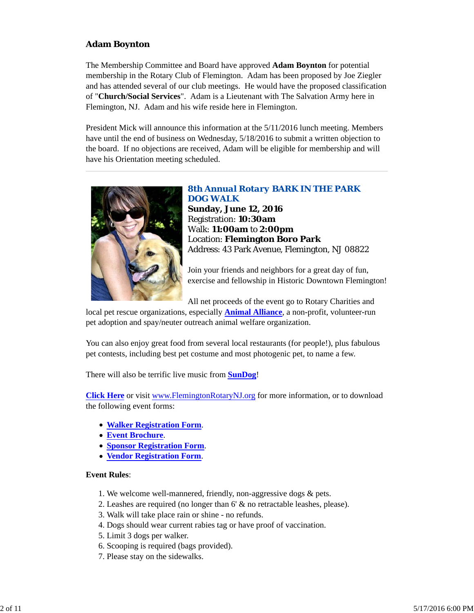# **Adam Boynton**

The Membership Committee and Board have approved **Adam Boynton** for potential membership in the Rotary Club of Flemington. Adam has been proposed by Joe Ziegler and has attended several of our club meetings. He would have the proposed classification of "**Church/Social Services**". Adam is a Lieutenant with The Salvation Army here in Flemington, NJ. Adam and his wife reside here in Flemington.

President Mick will announce this information at the 5/11/2016 lunch meeting. Members have until the end of business on Wednesday, 5/18/2016 to submit a written objection to the board. If no objections are received, Adam will be eligible for membership and will have his Orientation meeting scheduled.



*8th Annual Rotary BARK IN THE PARK DOG WALK* **Sunday, June 12, 2016** Registration: **10:30am** Walk: **11:00am** to **2:00pm** Location: **Flemington Boro Park** Address: 43 Park Avenue, Flemington, NJ 08822

Join your friends and neighbors for a great day of fun, exercise and fellowship in Historic Downtown Flemington!

All net proceeds of the event go to Rotary Charities and

local pet rescue organizations, especially **Animal Alliance**, a non-profit, volunteer-run pet adoption and spay/neuter outreach animal welfare organization.

You can also enjoy great food from several local restaurants (for people!), plus fabulous pet contests, including best pet costume and most photogenic pet, to name a few.

There will also be terrific live music from **SunDog**!

**Click Here** or visit www.FlemingtonRotaryNJ.org for more information, or to download the following event forms:

- **Walker Registration Form**.
- **Event Brochure**.
- **Sponsor Registration Form**.
- **Vendor Registration Form**.

#### **Event Rules**:

- 1. We welcome well-mannered, friendly, non-aggressive dogs & pets.
- 2. Leashes are required (no longer than 6' & no retractable leashes, please).
- 3. Walk will take place rain or shine no refunds.
- 4. Dogs should wear current rabies tag or have proof of vaccination.
- 5. Limit 3 dogs per walker.
- 6. Scooping is required (bags provided).
- 7. Please stay on the sidewalks.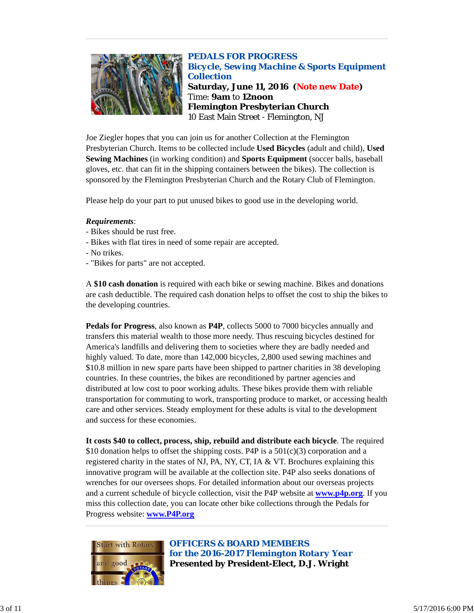

*PEDALS FOR PROGRESS Bicycle, Sewing Machine & Sports Equipment Collection* **Saturday, June 11, 2016 (Note new Date)** Time: **9am** to **12noon Flemington Presbyterian Church** 10 East Main Street - Flemington, NJ

Joe Ziegler hopes that you can join us for another Collection at the Flemington Presbyterian Church. Items to be collected include **Used Bicycles** (adult and child), **Used Sewing Machines** (in working condition) and **Sports Equipment** (soccer balls, baseball gloves, etc. that can fit in the shipping containers between the bikes). The collection is sponsored by the Flemington Presbyterian Church and the Rotary Club of Flemington.

Please help do your part to put unused bikes to good use in the developing world.

#### *Requirements*:

- Bikes should be rust free.
- Bikes with flat tires in need of some repair are accepted.
- No trikes.
- "Bikes for parts" are not accepted.

A **\$10 cash donation** is required with each bike or sewing machine. Bikes and donations are cash deductible. The required cash donation helps to offset the cost to ship the bikes to the developing countries.

**Pedals for Progress**, also known as **P4P**, collects 5000 to 7000 bicycles annually and transfers this material wealth to those more needy. Thus rescuing bicycles destined for America's landfills and delivering them to societies where they are badly needed and highly valued. To date, more than 142,000 bicycles, 2,800 used sewing machines and \$10.8 million in new spare parts have been shipped to partner charities in 38 developing countries. In these countries, the bikes are reconditioned by partner agencies and distributed at low cost to poor working adults. These bikes provide them with reliable transportation for commuting to work, transporting produce to market, or accessing health care and other services. Steady employment for these adults is vital to the development and success for these economies.

**It costs \$40 to collect, process, ship, rebuild and distribute each bicycle**. The required \$10 donation helps to offset the shipping costs. P4P is a  $501(c)(3)$  corporation and a registered charity in the states of NJ, PA, NY, CT, IA & VT. Brochures explaining this innovative program will be available at the collection site. P4P also seeks donations of wrenches for our oversees shops. For detailed information about our overseas projects and a current schedule of bicycle collection, visit the P4P website at **www.p4p.org**. If you miss this collection date, you can locate other bike collections through the Pedals for Progress website: **www.P4P.org**



*OFFICERS & BOARD MEMBERS for the 2016-2017 Flemington Rotary Year* **Presented by President-Elect, D.J. Wright**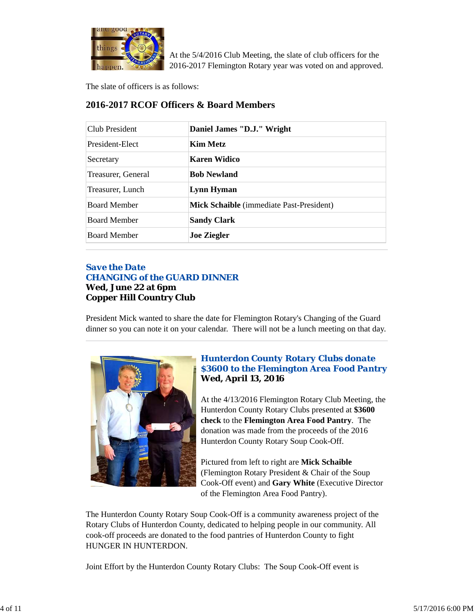

At the 5/4/2016 Club Meeting, the slate of club officers for the 2016-2017 Flemington Rotary year was voted on and approved.

The slate of officers is as follows:

| Club President      | Daniel James "D.J." Wright               |  |
|---------------------|------------------------------------------|--|
| President-Elect     | <b>Kim Metz</b>                          |  |
| Secretary           | Karen Widico                             |  |
| Treasurer, General  | <b>Bob Newland</b>                       |  |
| Treasurer, Lunch    | Lynn Hyman                               |  |
| <b>Board Member</b> | Mick Schaible (immediate Past-President) |  |
| <b>Board Member</b> | <b>Sandy Clark</b>                       |  |
| <b>Board Member</b> | <b>Joe Ziegler</b>                       |  |

# **2016-2017 RCOF Officers & Board Members**

# *Save the Date CHANGING of the GUARD DINNER* **Wed, June 22 at 6pm Copper Hill Country Club**

President Mick wanted to share the date for Flemington Rotary's Changing of the Guard dinner so you can note it on your calendar. There will not be a lunch meeting on that day.



# *Hunterdon County Rotary Clubs donate \$3600 to the Flemington Area Food Pantry* **Wed, April 13, 2016**

At the 4/13/2016 Flemington Rotary Club Meeting, the Hunterdon County Rotary Clubs presented at **\$3600 check** to the **Flemington Area Food Pantry**. The donation was made from the proceeds of the 2016 Hunterdon County Rotary Soup Cook-Off.

Pictured from left to right are **Mick Schaible** (Flemington Rotary President & Chair of the Soup Cook-Off event) and **Gary White** (Executive Director of the Flemington Area Food Pantry).

The Hunterdon County Rotary Soup Cook-Off is a community awareness project of the Rotary Clubs of Hunterdon County, dedicated to helping people in our community. All cook-off proceeds are donated to the food pantries of Hunterdon County to fight HUNGER IN HUNTERDON.

Joint Effort by the Hunterdon County Rotary Clubs: The Soup Cook-Off event is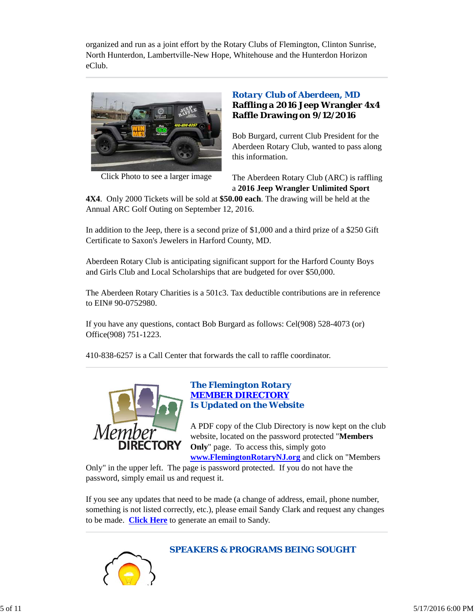organized and run as a joint effort by the Rotary Clubs of Flemington, Clinton Sunrise, North Hunterdon, Lambertville-New Hope, Whitehouse and the Hunterdon Horizon eClub.



Click Photo to see a larger image

# *Rotary Club of Aberdeen, MD* **Raffling a 2016 Jeep Wrangler 4x4 Raffle Drawing on 9/12/2016**

Bob Burgard, current Club President for the Aberdeen Rotary Club, wanted to pass along this information.

The Aberdeen Rotary Club (ARC) is raffling a **2016 Jeep Wrangler Unlimited Sport**

**4X4**. Only 2000 Tickets will be sold at **\$50.00 each**. The drawing will be held at the Annual ARC Golf Outing on September 12, 2016.

In addition to the Jeep, there is a second prize of \$1,000 and a third prize of a \$250 Gift Certificate to Saxon's Jewelers in Harford County, MD.

Aberdeen Rotary Club is anticipating significant support for the Harford County Boys and Girls Club and Local Scholarships that are budgeted for over \$50,000.

The Aberdeen Rotary Charities is a 501c3. Tax deductible contributions are in reference to EIN# 90-0752980.

If you have any questions, contact Bob Burgard as follows: Cel(908) 528-4073 (or) Office(908) 751-1223.

410-838-6257 is a Call Center that forwards the call to raffle coordinator.



# *The Flemington Rotary MEMBER DIRECTORY Is Updated on the Website*

A PDF copy of the Club Directory is now kept on the club website, located on the password protected "**Members Only**" page. To access this, simply goto

**www.FlemingtonRotaryNJ.org** and click on "Members

Only" in the upper left. The page is password protected. If you do not have the password, simply email us and request it.

If you see any updates that need to be made (a change of address, email, phone number, something is not listed correctly, etc.), please email Sandy Clark and request any changes to be made. **Click Here** to generate an email to Sandy.



#### *SPEAKERS & PROGRAMS BEING SOUGHT*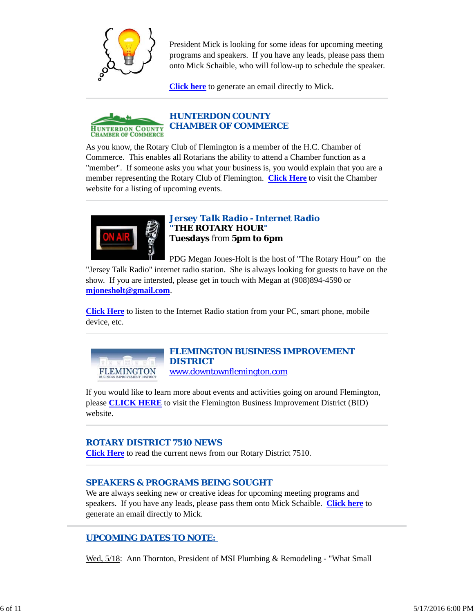

President Mick is looking for some ideas for upcoming meeting programs and speakers. If you have any leads, please pass them onto Mick Schaible, who will follow-up to schedule the speaker.

**Click here** to generate an email directly to Mick.



As you know, the Rotary Club of Flemington is a member of the H.C. Chamber of Commerce. This enables all Rotarians the ability to attend a Chamber function as a "member". If someone asks you what your business is, you would explain that you are a member representing the Rotary Club of Flemington. **Click Here** to visit the Chamber website for a listing of upcoming events.



*Jersey Talk Radio - Internet Radio "THE ROTARY HOUR"* **Tuesdays** from **5pm to 6pm**

PDG Megan Jones-Holt is the host of "The Rotary Hour" on the "Jersey Talk Radio" internet radio station. She is always looking for guests to have on the show. If you are intersted, please get in touch with Megan at (908)894-4590 or **mjonesholt@gmail.com**.

**Click Here** to listen to the Internet Radio station from your PC, smart phone, mobile device, etc.

**FLEMINGTON** 

# *FLEMINGTON BUSINESS IMPROVEMENT DISTRICT*

www.downtownflemington.com

If you would like to learn more about events and activities going on around Flemington, please **CLICK HERE** to visit the Flemington Business Improvement District (BID) website.

# *ROTARY DISTRICT 7510 NEWS*

**Click Here** to read the current news from our Rotary District 7510.

# *SPEAKERS & PROGRAMS BEING SOUGHT*

We are always seeking new or creative ideas for upcoming meeting programs and speakers. If you have any leads, please pass them onto Mick Schaible. **Click here** to generate an email directly to Mick.

# *UPCOMING DATES TO NOTE:*

Wed, 5/18: Ann Thornton, President of MSI Plumbing & Remodeling - "What Small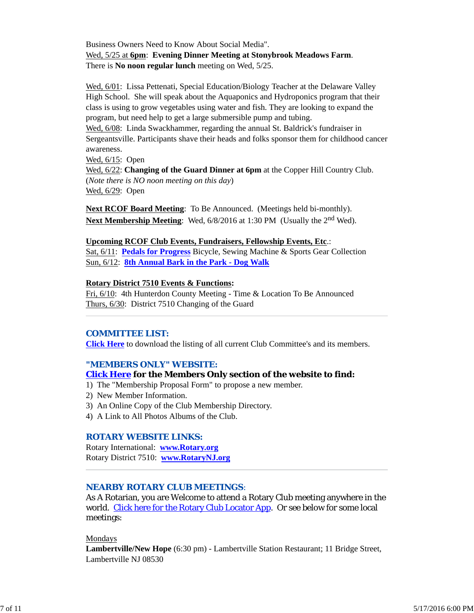Business Owners Need to Know About Social Media". Wed, 5/25 at **6pm**: **Evening Dinner Meeting at Stonybrook Meadows Farm**. There is **No noon regular lunch** meeting on Wed, 5/25.

Wed, 6/01: Lissa Pettenati, Special Education/Biology Teacher at the Delaware Valley High School. She will speak about the Aquaponics and Hydroponics program that their class is using to grow vegetables using water and fish. They are looking to expand the program, but need help to get a large submersible pump and tubing.

Wed, 6/08: Linda Swackhammer, regarding the annual St. Baldrick's fundraiser in Sergeantsville. Participants shave their heads and folks sponsor them for childhood cancer awareness.

Wed, 6/15: Open Wed, 6/22: **Changing of the Guard Dinner at 6pm** at the Copper Hill Country Club. (*Note there is NO noon meeting on this day*)

Wed, 6/29: Open

**Next RCOF Board Meeting**: To Be Announced. (Meetings held bi-monthly). **Next Membership Meeting**: Wed, 6/8/2016 at 1:30 PM (Usually the 2<sup>nd</sup> Wed).

#### **Upcoming RCOF Club Events, Fundraisers, Fellowship Events, Etc**.:

Sat, 6/11: **Pedals for Progress** Bicycle, Sewing Machine & Sports Gear Collection Sun, 6/12: **8th Annual Bark in the Park - Dog Walk**

#### **Rotary District 7510 Events & Functions:**

Fri, 6/10: 4th Hunterdon County Meeting - Time & Location To Be Announced Thurs, 6/30: District 7510 Changing of the Guard

#### *COMMITTEE LIST:*

**Click Here** to download the listing of all current Club Committee's and its members.

#### *"MEMBERS ONLY" WEBSITE:*

#### **Click Here for the Members Only section of the website to find:**

- 1) The "Membership Proposal Form" to propose a new member.
- 2) New Member Information.
- 3) An Online Copy of the Club Membership Directory.
- 4) A Link to All Photos Albums of the Club.

#### *ROTARY WEBSITE LINKS:*

Rotary International: **www.Rotary.org** Rotary District 7510: **www.RotaryNJ.org**

#### *NEARBY ROTARY CLUB MEETINGS:*

As A Rotarian, you are Welcome to attend a Rotary Club meeting anywhere in the world. Click here for the Rotary Club Locator App. Or see below for some local meetings:

#### Mondays

**Lambertville/New Hope** (6:30 pm) - Lambertville Station Restaurant; 11 Bridge Street, Lambertville NJ 08530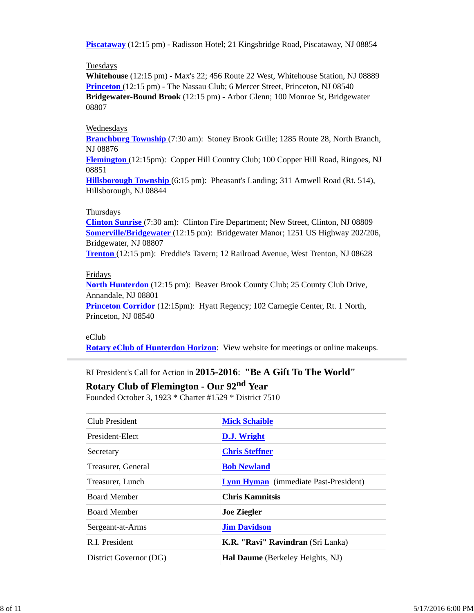**Piscataway** (12:15 pm) - Radisson Hotel; 21 Kingsbridge Road, Piscataway, NJ 08854

#### **Tuesdays**

**Whitehouse** (12:15 pm) - Max's 22; 456 Route 22 West, Whitehouse Station, NJ 08889 **Princeton** (12:15 pm) - The Nassau Club; 6 Mercer Street, Princeton, NJ 08540 **Bridgewater-Bound Brook** (12:15 pm) - Arbor Glenn; 100 Monroe St, Bridgewater 08807

#### Wednesdays

**Branchburg Township** (7:30 am): Stoney Brook Grille; 1285 Route 28, North Branch, NJ 08876

**Flemington** (12:15pm): Copper Hill Country Club; 100 Copper Hill Road, Ringoes, NJ 08851

**Hillsborough Township** (6:15 pm): Pheasant's Landing; 311 Amwell Road (Rt. 514), Hillsborough, NJ 08844

#### Thursdays

**Clinton Sunrise** (7:30 am): Clinton Fire Department; New Street, Clinton, NJ 08809 **Somerville/Bridgewater** (12:15 pm): Bridgewater Manor; 1251 US Highway 202/206, Bridgewater, NJ 08807

**Trenton** (12:15 pm): Freddie's Tavern; 12 Railroad Avenue, West Trenton, NJ 08628

#### Fridays

**North Hunterdon** (12:15 pm): Beaver Brook County Club; 25 County Club Drive, Annandale, NJ 08801

**Princeton Corridor** (12:15pm): Hyatt Regency; 102 Carnegie Center, Rt. 1 North, Princeton, NJ 08540

## eClub

**Rotary eClub of Hunterdon Horizon**: View website for meetings or online makeups.

# RI President's Call for Action in **2015-2016**: **"Be A Gift To The World"**

**Rotary Club of Flemington - Our 92nd Year**

Founded October 3, 1923 \* Charter #1529 \* District 7510

| Club President         | <b>Mick Schaible</b>                         |  |
|------------------------|----------------------------------------------|--|
| President-Elect        | D.J. Wright                                  |  |
| Secretary              | <b>Chris Steffner</b>                        |  |
| Treasurer, General     | <b>Bob Newland</b>                           |  |
| Treasurer, Lunch       | <b>Lynn Hyman</b> (immediate Past-President) |  |
| <b>Board Member</b>    | <b>Chris Kamnitsis</b>                       |  |
| <b>Board Member</b>    | <b>Joe Ziegler</b>                           |  |
| Sergeant-at-Arms       | <b>Jim Davidson</b>                          |  |
| R.I. President         | <b>K.R. "Ravi" Ravindran</b> (Sri Lanka)     |  |
| District Governor (DG) | <b>Hal Daume</b> (Berkeley Heights, NJ)      |  |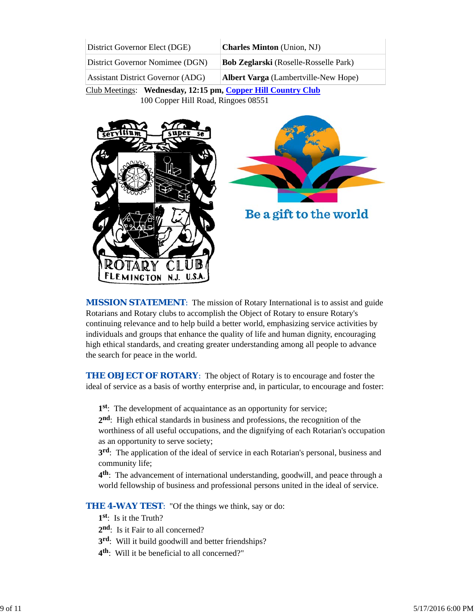| District Governor Elect (DGE)            | <b>Charles Minton</b> (Union, NJ)            |  |  |
|------------------------------------------|----------------------------------------------|--|--|
| District Governor Nomimee (DGN)          | <b>Bob Zeglarski</b> (Roselle-Rosselle Park) |  |  |
| <b>Assistant District Governor (ADG)</b> | <b>Albert Varga</b> (Lambertville-New Hope)  |  |  |

Club Meetings: **Wednesday, 12:15 pm, Copper Hill Country Club** 100 Copper Hill Road, Ringoes 08551



**MISSION STATEMENT:** The mission of Rotary International is to assist and guide Rotarians and Rotary clubs to accomplish the Object of Rotary to ensure Rotary's continuing relevance and to help build a better world, emphasizing service activities by individuals and groups that enhance the quality of life and human dignity, encouraging high ethical standards, and creating greater understanding among all people to advance the search for peace in the world.

**THE OBJECT OF ROTARY:** The object of Rotary is to encourage and foster the ideal of service as a basis of worthy enterprise and, in particular, to encourage and foster:

**1st**: The development of acquaintance as an opportunity for service;

**2nd**: High ethical standards in business and professions, the recognition of the worthiness of all useful occupations, and the dignifying of each Rotarian's occupation as an opportunity to serve society;

**3rd**: The application of the ideal of service in each Rotarian's personal, business and community life;

**4th**: The advancement of international understanding, goodwill, and peace through a world fellowship of business and professional persons united in the ideal of service.

**THE 4-WAY TEST:** "Of the things we think, say or do:

- **1st**: Is it the Truth?
- 2<sup>nd</sup>: Is it Fair to all concerned?
- **3rd**: Will it build goodwill and better friendships?
- **4th**: Will it be beneficial to all concerned?"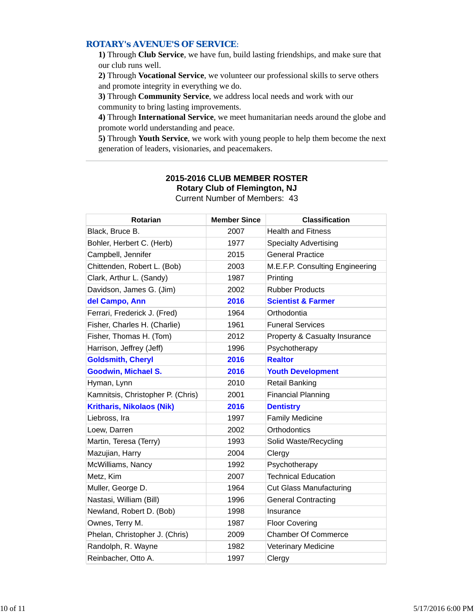## *ROTARY's AVENUE'S OF SERVICE*:

**1)** Through **Club Service**, we have fun, build lasting friendships, and make sure that our club runs well.

**2)** Through **Vocational Service**, we volunteer our professional skills to serve others and promote integrity in everything we do.

**3)** Through **Community Service**, we address local needs and work with our community to bring lasting improvements.

**4)** Through **International Service**, we meet humanitarian needs around the globe and promote world understanding and peace.

**5)** Through **Youth Service**, we work with young people to help them become the next generation of leaders, visionaries, and peacemakers.

| <b>Rotarian</b>                   | <b>Member Since</b> | <b>Classification</b>                    |
|-----------------------------------|---------------------|------------------------------------------|
| Black, Bruce B.                   | 2007                | <b>Health and Fitness</b>                |
| Bohler, Herbert C. (Herb)         | 1977                | <b>Specialty Advertising</b>             |
| Campbell, Jennifer                | 2015                | <b>General Practice</b>                  |
| Chittenden, Robert L. (Bob)       | 2003                | M.E.F.P. Consulting Engineering          |
| Clark, Arthur L. (Sandy)          | 1987                | Printing                                 |
| Davidson, James G. (Jim)          | 2002                | <b>Rubber Products</b>                   |
| del Campo, Ann                    | 2016                | <b>Scientist &amp; Farmer</b>            |
| Ferrari, Frederick J. (Fred)      | 1964                | Orthodontia                              |
| Fisher, Charles H. (Charlie)      | 1961                | <b>Funeral Services</b>                  |
| Fisher, Thomas H. (Tom)           | 2012                | <b>Property &amp; Casualty Insurance</b> |
| Harrison, Jeffrey (Jeff)          | 1996                | Psychotherapy                            |
| <b>Goldsmith, Cheryl</b>          | 2016                | <b>Realtor</b>                           |
| <b>Goodwin, Michael S.</b>        | 2016                | <b>Youth Development</b>                 |
| Hyman, Lynn                       | 2010                | <b>Retail Banking</b>                    |
| Kamnitsis, Christopher P. (Chris) | 2001                | <b>Financial Planning</b>                |
| <b>Kritharis, Nikolaos (Nik)</b>  | 2016                | <b>Dentistry</b>                         |
| Liebross, Ira                     | 1997                | <b>Family Medicine</b>                   |
| Loew, Darren                      | 2002                | Orthodontics                             |
| Martin, Teresa (Terry)            | 1993                | Solid Waste/Recycling                    |
| Mazujian, Harry                   | 2004                | Clergy                                   |
| McWilliams, Nancy                 | 1992                | Psychotherapy                            |
| Metz, Kim                         | 2007                | <b>Technical Education</b>               |
| Muller, George D.                 | 1964                | <b>Cut Glass Manufacturing</b>           |
| Nastasi, William (Bill)           | 1996                | <b>General Contracting</b>               |
| Newland, Robert D. (Bob)          | 1998                | Insurance                                |
| Ownes, Terry M.                   | 1987                | <b>Floor Covering</b>                    |
| Phelan, Christopher J. (Chris)    | 2009                | <b>Chamber Of Commerce</b>               |
| Randolph, R. Wayne                | 1982                | <b>Veterinary Medicine</b>               |
| Reinbacher, Otto A.               | 1997                | Clergy                                   |

#### **2015-2016 CLUB MEMBER ROSTER Rotary Club of Flemington, NJ** Current Number of Members: 43